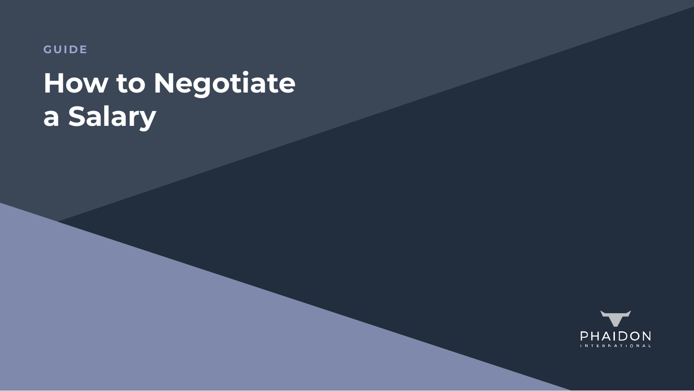**GUIDE**

# **How to Negotiate a Salary**

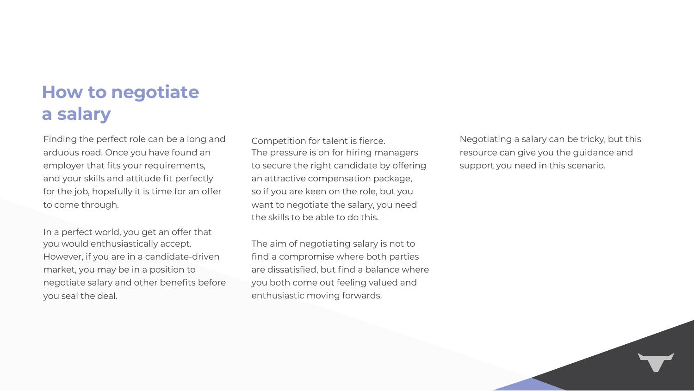Finding the perfect role can be a long and arduous road. Once you have found an employer that fits your requirements, and your skills and attitude fit perfectly for the job, hopefully it is time for an offer to come through.

In a perfect world, you get an offer that you would enthusiastically accept. However, if you are in a candidate-driven market, you may be in a position to negotiate salary and other benefits before you seal the deal.

Competition for talent is fierce. The pressure is on for hiring managers to secure the right candidate by offering an attractive compensation package, so if you are keen on the role, but you want to negotiate the salary, you need the skills to be able to do this. The aim of negotiating salary is not to find a compromise where both parties are dissatisfied, but find a balance where you both come out feeling valued and enthusiastic moving forwards. Negotiating a salary can be tricky, but this resource can give you the guidance and support you need in this scenario.



## **How to negotiate a salary**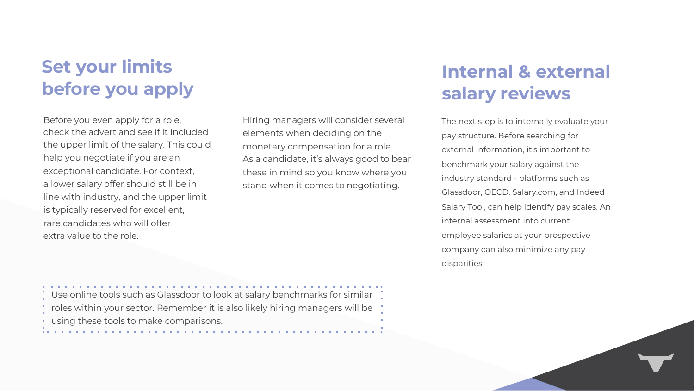Before you even apply for a role, check the advert and see if it included the upper limit of the salary. This could help you negotiate if you are an exceptional candidate. For context, a lower salary offer should still be in line with industry, and the upper limit is typically reserved for excellent, rare candidates who will offer extra value to the role.

## **Set your limits before you apply**



Hiring managers will consider several elements when deciding on the monetary compensation for a role. As a candidate, it's always good to bear these in mind so you know where you stand when it comes to negotiating. The next step is to internally evaluate your pay structure. Before searching for external information, it's important to benchmark your salary against the industry standard - platforms such as Glassdoor, OECD, Salary.com, and Indeed Salary Tool, can help identify pay scales. An internal assessment into current employee salaries at your prospective company can also minimize any pay disparities.

#### **Internal & external salary reviews**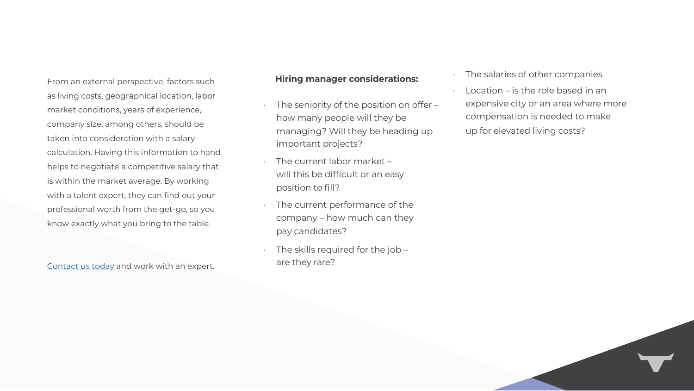From an external perspective, factors such as living costs, geographical location, labor market conditions, years of experience, company size, among others, should be taken into consideration with a salary calculation. Having this information to hand helps to negotiate a competitive salary that is within the market average. By working with a talent expert, they can find out your professional worth from the get-go, so you know exactly what you bring to the table.

 $\bullet$  The seniority of the position of the position of the position of the position of the position of the position of the position of the position of the position of the position of the position of the position of the pos

 $\bullet$  The current labor matrix

 $\bullet$ 

 $\bullet$  The skills required for the  $\mathcal{I}$ 

Contact us today and work with an expert.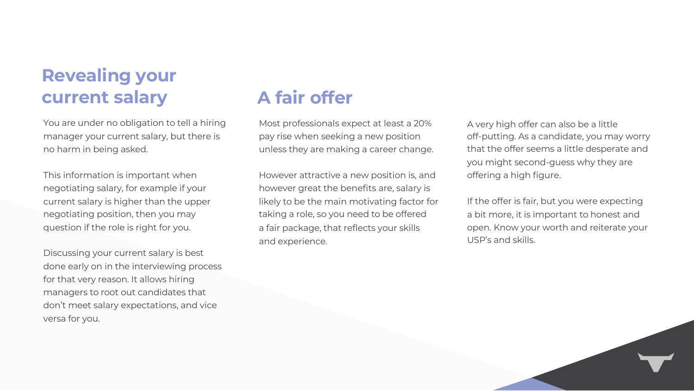## **Revealing your current salary**

You are under no obligation to tell a hiring manager your current salary, but there is no harm in being asked.

This information is important when negotiating salary, for example if your current salary is higher than the upper negotiating position, then you may question if the role is right for you.

Discussing your current salary is best done early on in the interviewing process for that very reason. It allows hiring managers to root out candidates that don't meet salary expectations, and vice versa for you.

## **A fair offer**

Most professionals expect at least a 20% pay rise when seeking a new position unless they are making a career change.

However attractive a new position is, and however great the benefits are, salary is likely to be the main motivating factor for taking a role, so you need to be offered a fair package, that reflects your skills and experience.

A very high offer can also be a little off-putting. As a candidate, you may worry that the offer seems a little desperate and you might second-guess why they are offering a high figure.

If the offer is fair, but you were expecting a bit more, it is important to honest and open. Know your worth and reiterate your USP's and skills.

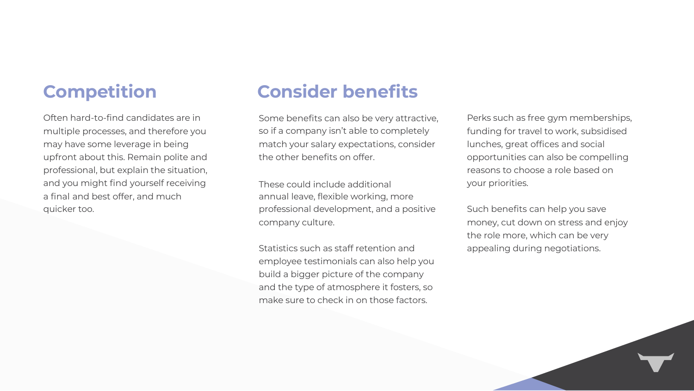#### **Competition**

Often hard-to-find candidates are in multiple processes, and therefore you may have some leverage in being upfront about this. Remain polite and professional, but explain the situation, and you might find yourself receiving a final and best offer, and much quicker too.

## **Consider benefits**

Some benefits can also be very attractive, so if a company isn't able to completely match your salary expectations, consider the other benefits on offer.

These could include additional annual leave, flexible working, more professional development, and a positive company culture.

Statistics such as staff retention and employee testimonials can also help you build a bigger picture of the company and the type of atmosphere it fosters, so make sure to check in on those factors.

Perks such as free gym memberships, funding for travel to work, subsidised lunches, great offices and social opportunities can also be compelling reasons to choose a role based on your priorities.

Such benefits can help you save money, cut down on stress and enjoy the role more, which can be very appealing during negotiations.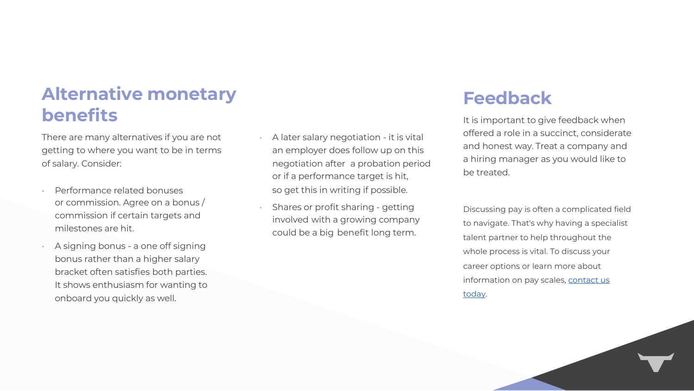#### **Alternative monetary benefits**

 $\bullet$  and it is vitalized by

 $\bullet$  Sharing  $\bullet$ 

There are many alternatives if you are not getting to where you want to be in terms of salary. Consider:

- Performance related bonuses or commission. Agree on a bonus / commission if certain targets and milestones are hit.
- A signing bonus a one off signing bonus rather than a higher salary bracket often satisfies both parties. It shows enthusiasm for wanting to onboard you quickly as well.